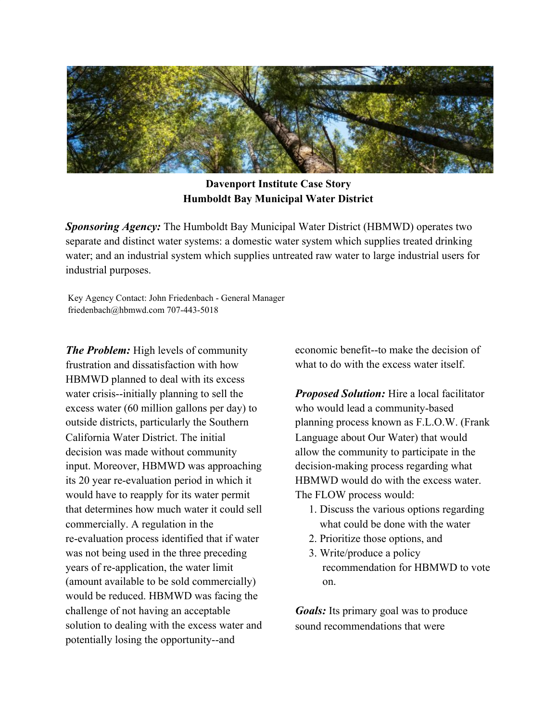

## **Davenport Institute Case Story Humboldt Bay Municipal Water District**

*Sponsoring Agency:* The Humboldt Bay Municipal Water District (HBMWD) operates two separate and distinct water systems: a domestic water system which supplies treated drinking water; and an industrial system which supplies untreated raw water to large industrial users for industrial purposes.

Key Agency Contact: John Friedenbach - General Manager friedenbach@hbmwd.com 707-443-5018

*The Problem:* High levels of community frustration and dissatisfaction with how HBMWD planned to deal with its excess water crisis--initially planning to sell the excess water (60 million gallons per day) to outside districts, particularly the Southern California Water District. The initial decision was made without community input. Moreover, HBMWD was approaching its 20 year re-evaluation period in which it would have to reapply for its water permit that determines how much water it could sell commercially. A regulation in the re-evaluation process identified that if water was not being used in the three preceding years of re-application, the water limit (amount available to be sold commercially) would be reduced. HBMWD was facing the challenge of not having an acceptable solution to dealing with the excess water and potentially losing the opportunity--and

economic benefit--to make the decision of what to do with the excess water itself.

*Proposed Solution:* Hire a local facilitator who would lead a community-based planning process known as F.L.O.W. (Frank Language about Our Water) that would allow the community to participate in the decision-making process regarding what HBMWD would do with the excess water. The FLOW process would:

- 1. Discuss the various options regarding what could be done with the water
- 2. Prioritize those options, and
- 3. Write/produce a policy recommendation for HBMWD to vote on.

*Goals:* Its primary goal was to produce sound recommendations that were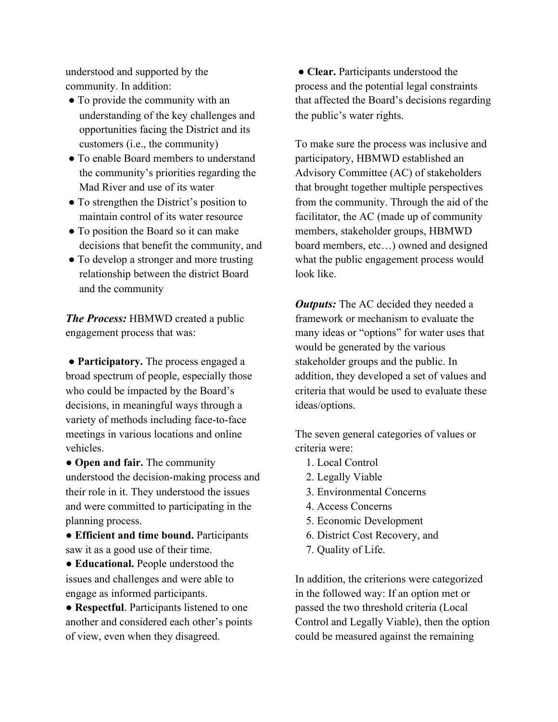understood and supported by the community. In addition:

- To provide the community with an understanding of the key challenges and opportunities facing the District and its customers (i.e., the community)
- To enable Board members to understand the community's priorities regarding the Mad River and use of its water
- To strengthen the District's position to maintain control of its water resource
- To position the Board so it can make decisions that benefit the community, and
- To develop a stronger and more trusting relationship between the district Board and the community

*The Process:* HBMWD created a public engagement process that was:

 **● Participatory.** The process engaged a broad spectrum of people, especially those who could be impacted by the Board's decisions, in meaningful ways through a variety of methods including face-to-face meetings in various locations and online vehicles.

● **Open and fair.** The community understood the decision-making process and their role in it. They understood the issues and were committed to participating in the planning process.

● **Efficient and time bound.** Participants saw it as a good use of their time.

● **Educational.** People understood the issues and challenges and were able to engage as informed participants.

● **Respectful**. Participants listened to one another and considered each other's points of view, even when they disagreed.

 ● **Clear.** Participants understood the process and the potential legal constraints that affected the Board's decisions regarding the public's water rights.

To make sure the process was inclusive and participatory, HBMWD established an Advisory Committee (AC) of stakeholders that brought together multiple perspectives from the community. Through the aid of the facilitator, the AC (made up of community members, stakeholder groups, HBMWD board members, etc…) owned and designed what the public engagement process would look like.

*Outputs:* The AC decided they needed a framework or mechanism to evaluate the many ideas or "options" for water uses that would be generated by the various stakeholder groups and the public. In addition, they developed a set of values and criteria that would be used to evaluate these ideas/options.

The seven general categories of values or criteria were:

- 1. Local Control
- 2. Legally Viable
- 3. Environmental Concerns
- 4. Access Concerns
- 5. Economic Development
- 6. District Cost Recovery, and
- 7. Quality of Life.

In addition, the criterions were categorized in the followed way: If an option met or passed the two threshold criteria (Local Control and Legally Viable), then the option could be measured against the remaining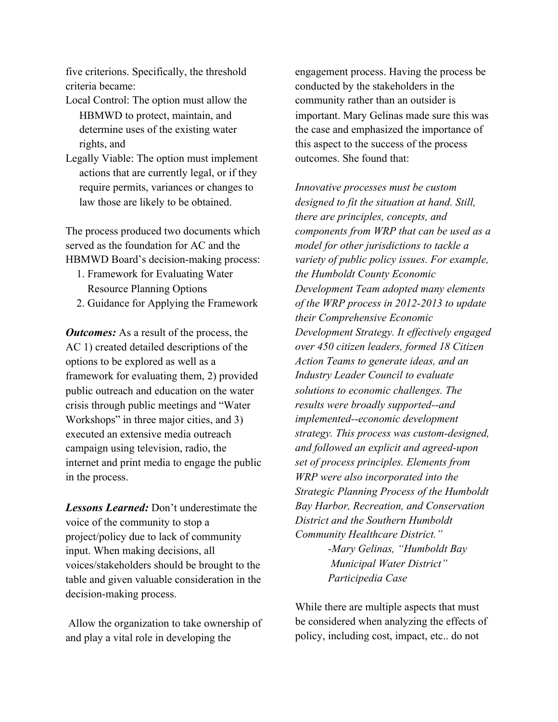five criterions. Specifically, the threshold criteria became:

- Local Control: The option must allow the HBMWD to protect, maintain, and determine uses of the existing water rights, and
- Legally Viable: The option must implement actions that are currently legal, or if they require permits, variances or changes to law those are likely to be obtained.

The process produced two documents which served as the foundation for AC and the HBMWD Board's decision-making process:

- 1. Framework for Evaluating Water Resource Planning Options
- 2. Guidance for Applying the Framework

*Outcomes:* As a result of the process, the AC 1) created detailed descriptions of the options to be explored as well as a framework for evaluating them, 2) provided public outreach and education on the water crisis through public meetings and "Water Workshops" in three major cities, and 3) executed an extensive media outreach campaign using television, radio, the internet and print media to engage the public in the process.

*Lessons Learned:* Don't underestimate the voice of the community to stop a project/policy due to lack of community input. When making decisions, all voices/stakeholders should be brought to the table and given valuable consideration in the decision-making process.

 Allow the organization to take ownership of and play a vital role in developing the

engagement process. Having the process be conducted by the stakeholders in the community rather than an outsider is important. Mary Gelinas made sure this was the case and emphasized the importance of this aspect to the success of the process outcomes. She found that:

*Innovative processes must be custom designed to fit the situation at hand. Still, there are principles, concepts, and components from WRP that can be used as a model for other jurisdictions to tackle a variety of public policy issues. For example, the Humboldt County Economic Development Team adopted many elements of the WRP process in 2012-2013 to update their Comprehensive Economic Development Strategy. It effectively engaged over 450 citizen leaders, formed 18 Citizen Action Teams to generate ideas, and an Industry Leader Council to evaluate solutions to economic challenges. The results were broadly supported--and implemented--economic development strategy. This process was custom-designed, and followed an explicit and agreed-upon set of process principles. Elements from WRP were also incorporated into the Strategic Planning Process of the Humboldt Bay Harbor, Recreation, and Conservation District and the Southern Humboldt Community Healthcare District." -Mary Gelinas, "Humboldt Bay Municipal Water District" Participedia Case*

While there are multiple aspects that must be considered when analyzing the effects of policy, including cost, impact, etc.. do not